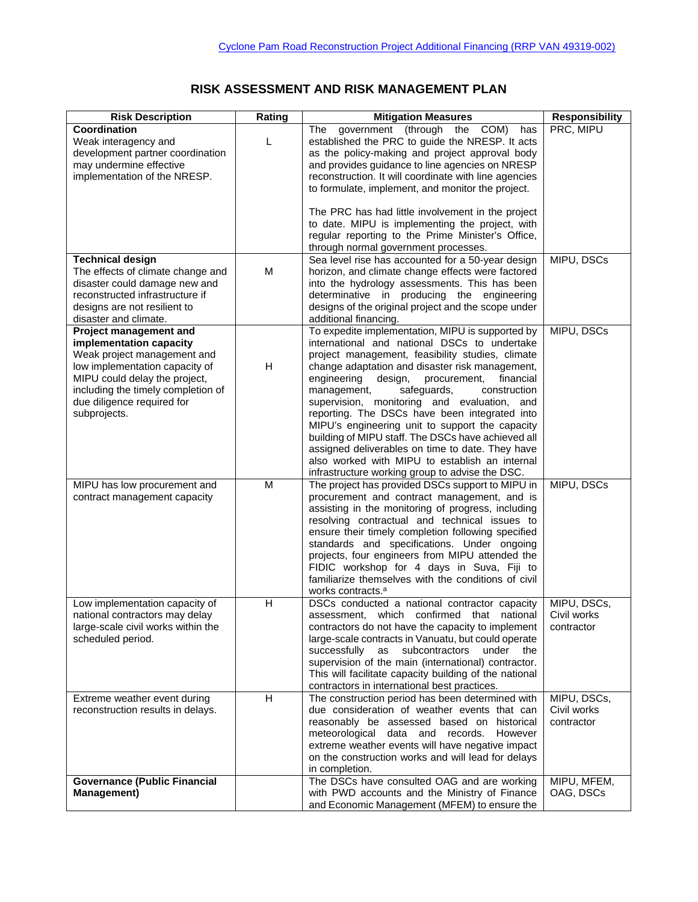## **RISK ASSESSMENT AND RISK MANAGEMENT PLAN**

| <b>Risk Description</b>                                                                                                                                                                                                                 | Rating | <b>Mitigation Measures</b>                                                                                                                                                                                                                                                                                                                                                                                                                                                                                                                                                                                                                                                     | <b>Responsibility</b>                    |
|-----------------------------------------------------------------------------------------------------------------------------------------------------------------------------------------------------------------------------------------|--------|--------------------------------------------------------------------------------------------------------------------------------------------------------------------------------------------------------------------------------------------------------------------------------------------------------------------------------------------------------------------------------------------------------------------------------------------------------------------------------------------------------------------------------------------------------------------------------------------------------------------------------------------------------------------------------|------------------------------------------|
| Coordination<br>Weak interagency and<br>development partner coordination<br>may undermine effective<br>implementation of the NRESP.                                                                                                     | L      | government (through the COM)<br>The<br>has<br>established the PRC to guide the NRESP. It acts<br>as the policy-making and project approval body<br>and provides guidance to line agencies on NRESP<br>reconstruction. It will coordinate with line agencies<br>to formulate, implement, and monitor the project.                                                                                                                                                                                                                                                                                                                                                               | PRC, MIPU                                |
|                                                                                                                                                                                                                                         |        | The PRC has had little involvement in the project<br>to date. MIPU is implementing the project, with<br>regular reporting to the Prime Minister's Office,<br>through normal government processes.                                                                                                                                                                                                                                                                                                                                                                                                                                                                              |                                          |
| <b>Technical design</b><br>The effects of climate change and<br>disaster could damage new and<br>reconstructed infrastructure if<br>designs are not resilient to<br>disaster and climate.                                               | M      | Sea level rise has accounted for a 50-year design<br>horizon, and climate change effects were factored<br>into the hydrology assessments. This has been<br>determinative in producing the engineering<br>designs of the original project and the scope under<br>additional financing.                                                                                                                                                                                                                                                                                                                                                                                          | MIPU, DSCs                               |
| Project management and<br>implementation capacity<br>Weak project management and<br>low implementation capacity of<br>MIPU could delay the project,<br>including the timely completion of<br>due diligence required for<br>subprojects. | H      | To expedite implementation, MIPU is supported by<br>international and national DSCs to undertake<br>project management, feasibility studies, climate<br>change adaptation and disaster risk management,<br>engineering<br>design,<br>procurement,<br>financial<br>management,<br>safeguards,<br>construction<br>supervision, monitoring and evaluation, and<br>reporting. The DSCs have been integrated into<br>MIPU's engineering unit to support the capacity<br>building of MIPU staff. The DSCs have achieved all<br>assigned deliverables on time to date. They have<br>also worked with MIPU to establish an internal<br>infrastructure working group to advise the DSC. | MIPU, DSCs                               |
| MIPU has low procurement and<br>contract management capacity                                                                                                                                                                            | M      | The project has provided DSCs support to MIPU in<br>procurement and contract management, and is<br>assisting in the monitoring of progress, including<br>resolving contractual and technical issues to<br>ensure their timely completion following specified<br>standards and specifications. Under ongoing<br>projects, four engineers from MIPU attended the<br>FIDIC workshop for 4 days in Suva, Fiji to<br>familiarize themselves with the conditions of civil<br>works contracts. <sup>a</sup>                                                                                                                                                                           | MIPU, DSCs                               |
| Low implementation capacity of<br>national contractors may delay<br>large-scale civil works within the<br>scheduled period.                                                                                                             | H      | DSCs conducted a national contractor capacity<br>assessment, which confirmed that national<br>contractors do not have the capacity to implement<br>large-scale contracts in Vanuatu, but could operate<br>successfully as subcontractors under the<br>supervision of the main (international) contractor.<br>This will facilitate capacity building of the national<br>contractors in international best practices.                                                                                                                                                                                                                                                            | MIPU, DSCs,<br>Civil works<br>contractor |
| Extreme weather event during<br>reconstruction results in delays.                                                                                                                                                                       | H      | The construction period has been determined with<br>due consideration of weather events that can<br>reasonably be assessed based on historical<br>meteorological data and records.<br>However<br>extreme weather events will have negative impact<br>on the construction works and will lead for delays<br>in completion.                                                                                                                                                                                                                                                                                                                                                      | MIPU, DSCs,<br>Civil works<br>contractor |
| <b>Governance (Public Financial</b><br><b>Management)</b>                                                                                                                                                                               |        | The DSCs have consulted OAG and are working<br>with PWD accounts and the Ministry of Finance<br>and Economic Management (MFEM) to ensure the                                                                                                                                                                                                                                                                                                                                                                                                                                                                                                                                   | MIPU, MFEM,<br>OAG, DSCs                 |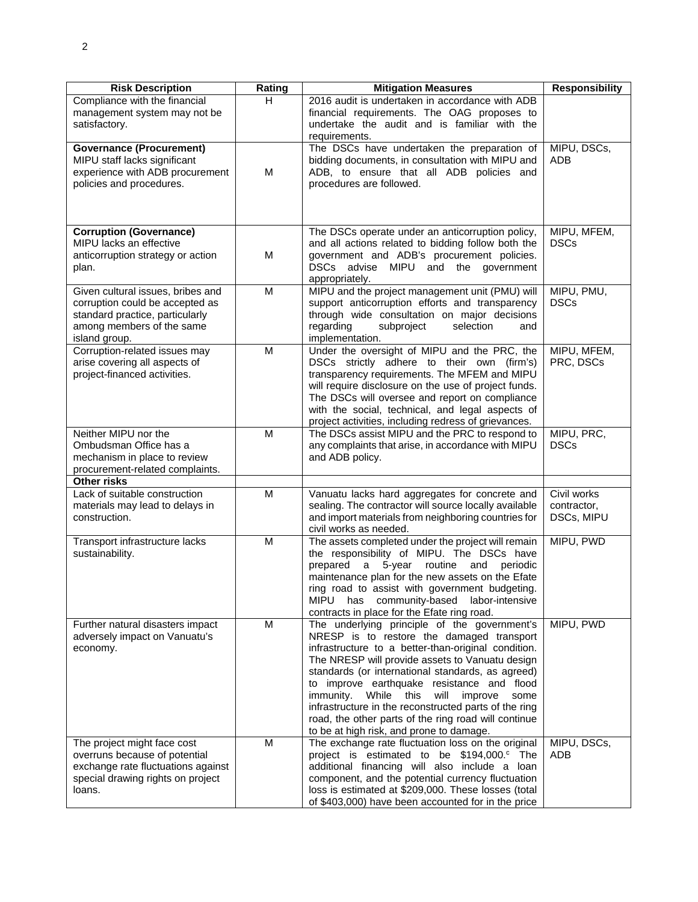| <b>Risk Description</b>                                                                                                                               | Rating | <b>Mitigation Measures</b>                                                                                                                                                                                                                                                                                                                                                                                                                                                                                                   | <b>Responsibility</b>                    |
|-------------------------------------------------------------------------------------------------------------------------------------------------------|--------|------------------------------------------------------------------------------------------------------------------------------------------------------------------------------------------------------------------------------------------------------------------------------------------------------------------------------------------------------------------------------------------------------------------------------------------------------------------------------------------------------------------------------|------------------------------------------|
| Compliance with the financial<br>management system may not be<br>satisfactory.                                                                        | H.     | 2016 audit is undertaken in accordance with ADB<br>financial requirements. The OAG proposes to<br>undertake the audit and is familiar with the<br>requirements.                                                                                                                                                                                                                                                                                                                                                              |                                          |
| <b>Governance (Procurement)</b><br>MIPU staff lacks significant<br>experience with ADB procurement<br>policies and procedures.                        | M      | The DSCs have undertaken the preparation of<br>bidding documents, in consultation with MIPU and<br>ADB, to ensure that all ADB policies and<br>procedures are followed.                                                                                                                                                                                                                                                                                                                                                      | MIPU, DSCs,<br><b>ADB</b>                |
| <b>Corruption (Governance)</b><br>MIPU lacks an effective<br>anticorruption strategy or action<br>plan.                                               | M      | The DSCs operate under an anticorruption policy,<br>and all actions related to bidding follow both the<br>government and ADB's procurement policies.<br>DSCs advise MIPU and the government<br>appropriately.                                                                                                                                                                                                                                                                                                                | MIPU, MFEM,<br><b>DSCs</b>               |
| Given cultural issues, bribes and<br>corruption could be accepted as<br>standard practice, particularly<br>among members of the same<br>island group. | M      | MIPU and the project management unit (PMU) will<br>support anticorruption efforts and transparency<br>through wide consultation on major decisions<br>regarding<br>subproject<br>selection<br>and<br>implementation.                                                                                                                                                                                                                                                                                                         | MIPU, PMU,<br><b>DSCs</b>                |
| Corruption-related issues may<br>arise covering all aspects of<br>project-financed activities.                                                        | M      | Under the oversight of MIPU and the PRC, the<br>DSCs strictly adhere to their own (firm's)<br>transparency requirements. The MFEM and MIPU<br>will require disclosure on the use of project funds.<br>The DSCs will oversee and report on compliance<br>with the social, technical, and legal aspects of<br>project activities, including redress of grievances.                                                                                                                                                             | MIPU, MFEM,<br>PRC, DSCs                 |
| Neither MIPU nor the<br>Ombudsman Office has a<br>mechanism in place to review<br>procurement-related complaints.                                     | M      | The DSCs assist MIPU and the PRC to respond to<br>any complaints that arise, in accordance with MIPU<br>and ADB policy.                                                                                                                                                                                                                                                                                                                                                                                                      | MIPU, PRC,<br><b>DSCs</b>                |
| <b>Other risks</b>                                                                                                                                    |        |                                                                                                                                                                                                                                                                                                                                                                                                                                                                                                                              |                                          |
| Lack of suitable construction<br>materials may lead to delays in<br>construction.                                                                     | M      | Vanuatu lacks hard aggregates for concrete and<br>sealing. The contractor will source locally available<br>and import materials from neighboring countries for<br>civil works as needed.                                                                                                                                                                                                                                                                                                                                     | Civil works<br>contractor,<br>DSCs, MIPU |
| Transport infrastructure lacks<br>sustainability.                                                                                                     | M      | The assets completed under the project will remain<br>the responsibility of MIPU. The DSCs have<br>prepared a 5-year routine and periodic<br>maintenance plan for the new assets on the Efate<br>ring road to assist with government budgeting.<br><b>MIPU</b><br>has community-based labor-intensive<br>contracts in place for the Efate ring road.                                                                                                                                                                         | MIPU, PWD                                |
| Further natural disasters impact<br>adversely impact on Vanuatu's<br>economy.                                                                         | M      | The underlying principle of the government's<br>NRESP is to restore the damaged transport<br>infrastructure to a better-than-original condition.<br>The NRESP will provide assets to Vanuatu design<br>standards (or international standards, as agreed)<br>to improve earthquake resistance and flood<br>immunity.<br>While<br>will<br>this<br>improve<br>some<br>infrastructure in the reconstructed parts of the ring<br>road, the other parts of the ring road will continue<br>to be at high risk, and prone to damage. | MIPU, PWD                                |
| The project might face cost<br>overruns because of potential<br>exchange rate fluctuations against<br>special drawing rights on project<br>loans.     | M      | The exchange rate fluctuation loss on the original<br>project is estimated to be \$194,000. <sup>c</sup> The<br>additional financing will also include a loan<br>component, and the potential currency fluctuation<br>loss is estimated at \$209,000. These losses (total<br>of \$403,000) have been accounted for in the price                                                                                                                                                                                              | MIPU, DSCs,<br>ADB                       |